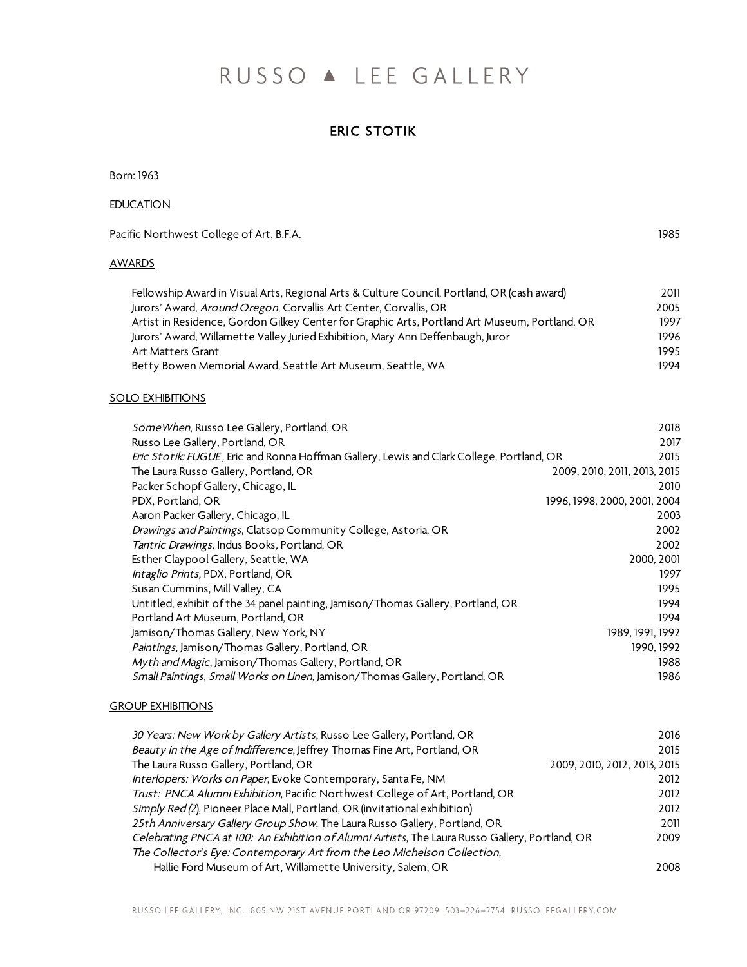# RUSSO A LEE GALLERY

# ERIC STOTIK

Born: 1963

# **EDUCATION**

Pacific Northwest College of Art, B.F.A. 1985

## AWARDS

| Fellowship Award in Visual Arts, Regional Arts & Culture Council, Portland, OR (cash award)   | 2011 |
|-----------------------------------------------------------------------------------------------|------|
| Jurors' Award, <i>Around Oregon</i> , Corvallis Art Center, Corvallis, OR                     | 2005 |
| Artist in Residence, Gordon Gilkey Center for Graphic Arts, Portland Art Museum, Portland, OR | 1997 |
| Jurors' Award, Willamette Valley Juried Exhibition, Mary Ann Deffenbaugh, Juror               | 1996 |
| Art Matters Grant                                                                             | 1995 |
| Betty Bowen Memorial Award, Seattle Art Museum, Seattle, WA                                   | 1994 |

### SOLO EXHIBITIONS

| SomeWhen, Russo Lee Gallery, Portland, OR                                                 | 2018                         |
|-------------------------------------------------------------------------------------------|------------------------------|
| Russo Lee Gallery, Portland, OR                                                           | 2017                         |
| Eric Stotik: FUGUE, Eric and Ronna Hoffman Gallery, Lewis and Clark College, Portland, OR | 2015                         |
| The Laura Russo Gallery, Portland, OR                                                     | 2009, 2010, 2011, 2013, 2015 |
| Packer Schopf Gallery, Chicago, IL                                                        | 2010                         |
| PDX, Portland, OR                                                                         | 1996, 1998, 2000, 2001, 2004 |
| Aaron Packer Gallery, Chicago, IL                                                         | 2003                         |
| Drawings and Paintings, Clatsop Community College, Astoria, OR                            | 2002                         |
| Tantric Drawings, Indus Books, Portland, OR                                               | 2002                         |
| Esther Claypool Gallery, Seattle, WA                                                      | 2000, 2001                   |
| Intaglio Prints, PDX, Portland, OR                                                        | 1997                         |
| Susan Cummins, Mill Valley, CA                                                            | 1995                         |
| Untitled, exhibit of the 34 panel painting, Jamison/Thomas Gallery, Portland, OR          | 1994                         |
| Portland Art Museum, Portland, OR                                                         | 1994                         |
| Jamison/Thomas Gallery, New York, NY                                                      | 1989, 1991, 1992             |
| Paintings, Jamison/Thomas Gallery, Portland, OR                                           | 1990, 1992                   |
| Myth and Magic, Jamison/Thomas Gallery, Portland, OR                                      | 1988                         |
| Small Paintings, Small Works on Linen, Jamison/Thomas Gallery, Portland, OR               | 1986                         |
|                                                                                           |                              |

# **GROUP EXHIBITIONS**

| 30 Years: New Work by Gallery Artists, Russo Lee Gallery, Portland, OR                          | 2016                         |
|-------------------------------------------------------------------------------------------------|------------------------------|
| Beauty in the Age of Indifference, Jeffrey Thomas Fine Art, Portland, OR                        | 2015                         |
| The Laura Russo Gallery, Portland, OR                                                           | 2009, 2010, 2012, 2013, 2015 |
| Interlopers: Works on Paper, Evoke Contemporary, Santa Fe, NM                                   | 2012                         |
| Trust: PNCA Alumni Exhibition, Pacific Northwest College of Art, Portland, OR                   | 2012                         |
| Simply Red (2), Pioneer Place Mall, Portland, OR (invitational exhibition)                      | 2012                         |
| 25th Anniversary Gallery Group Show, The Laura Russo Gallery, Portland, OR                      | 2011                         |
| Celebrating PNCA at 100: An Exhibition of Alumni Artists, The Laura Russo Gallery, Portland, OR | 2009                         |
| The Collector's Eye: Contemporary Art from the Leo Michelson Collection,                        |                              |
| Hallie Ford Museum of Art, Willamette University, Salem, OR                                     | 2008                         |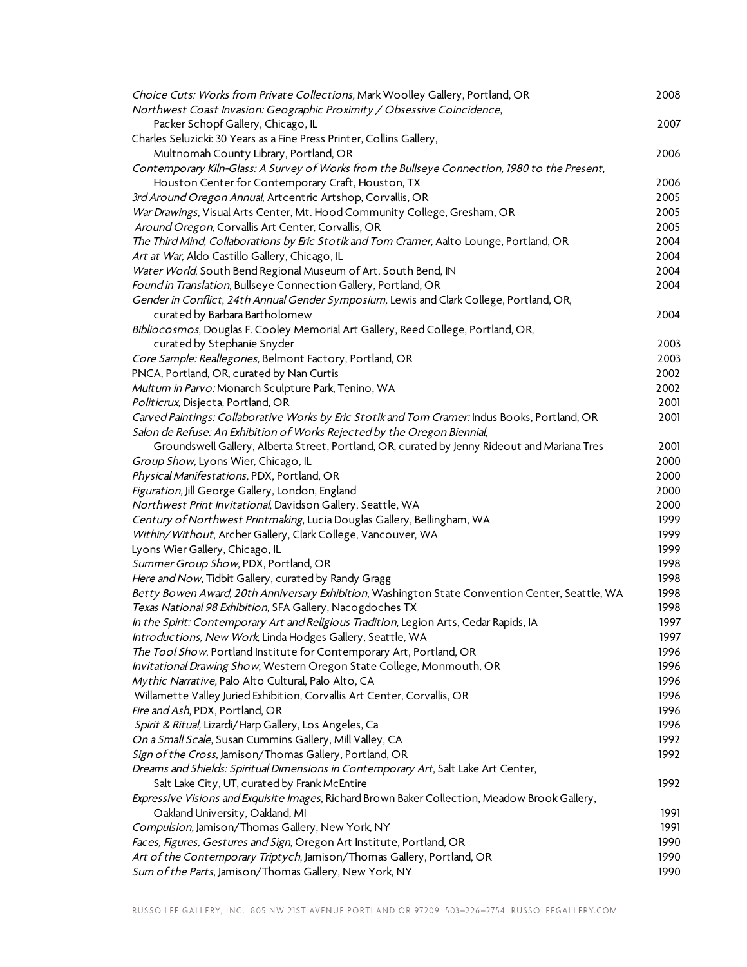| Choice Cuts: Works from Private Collections, Mark Woolley Gallery, Portland, OR                                                     | 2008 |
|-------------------------------------------------------------------------------------------------------------------------------------|------|
| Northwest Coast Invasion: Geographic Proximity / Obsessive Coincidence,                                                             |      |
| Packer Schopf Gallery, Chicago, IL                                                                                                  | 2007 |
| Charles Seluzicki: 30 Years as a Fine Press Printer, Collins Gallery,                                                               |      |
| Multnomah County Library, Portland, OR                                                                                              | 2006 |
| Contemporary Kiln-Glass: A Survey of Works from the Bullseye Connection, 1980 to the Present,                                       |      |
| Houston Center for Contemporary Craft, Houston, TX                                                                                  | 2006 |
| 3rd Around Oregon Annual, Artcentric Artshop, Corvallis, OR                                                                         | 2005 |
| War Drawings, Visual Arts Center, Mt. Hood Community College, Gresham, OR                                                           | 2005 |
| Around Oregon, Corvallis Art Center, Corvallis, OR                                                                                  | 2005 |
| The Third Mind, Collaborations by Eric Stotik and Tom Cramer, Aalto Lounge, Portland, OR                                            | 2004 |
| Art at War, Aldo Castillo Gallery, Chicago, IL                                                                                      | 2004 |
| Water World, South Bend Regional Museum of Art, South Bend, IN                                                                      | 2004 |
| Found in Translation, Bullseye Connection Gallery, Portland, OR                                                                     | 2004 |
| Gender in Conflict, 24th Annual Gender Symposium, Lewis and Clark College, Portland, OR,                                            |      |
| curated by Barbara Bartholomew                                                                                                      | 2004 |
| Bibliocosmos, Douglas F. Cooley Memorial Art Gallery, Reed College, Portland, OR,                                                   |      |
| curated by Stephanie Snyder                                                                                                         | 2003 |
| Core Sample: Reallegories, Belmont Factory, Portland, OR                                                                            | 2003 |
| PNCA, Portland, OR, curated by Nan Curtis                                                                                           | 2002 |
| Multum in Parvo: Monarch Sculpture Park, Tenino, WA                                                                                 | 2002 |
| Politicrux, Disjecta, Portland, OR                                                                                                  | 2001 |
| Carved Paintings: Collaborative Works by Eric Stotik and Tom Cramer: Indus Books, Portland, OR                                      | 2001 |
| Salon de Refuse: An Exhibition of Works Rejected by the Oregon Biennial,                                                            | 2001 |
| Groundswell Gallery, Alberta Street, Portland, OR, curated by Jenny Rideout and Mariana Tres<br>Group Show, Lyons Wier, Chicago, IL | 2000 |
| Physical Manifestations, PDX, Portland, OR                                                                                          | 2000 |
| Figuration, Jill George Gallery, London, England                                                                                    | 2000 |
| Northwest Print Invitational, Davidson Gallery, Seattle, WA                                                                         | 2000 |
| Century of Northwest Printmaking, Lucia Douglas Gallery, Bellingham, WA                                                             | 1999 |
| Within/Without, Archer Gallery, Clark College, Vancouver, WA                                                                        | 1999 |
| Lyons Wier Gallery, Chicago, IL                                                                                                     | 1999 |
| Summer Group Show, PDX, Portland, OR                                                                                                | 1998 |
| Here and Now, Tidbit Gallery, curated by Randy Gragg                                                                                | 1998 |
| Betty Bowen Award, 20th Anniversary Exhibition, Washington State Convention Center, Seattle, WA                                     | 1998 |
| Texas National 98 Exhibition, SFA Gallery, Nacogdoches TX                                                                           | 1998 |
| In the Spirit: Contemporary Art and Religious Tradition, Legion Arts, Cedar Rapids, IA                                              | 1997 |
| Introductions, New Work, Linda Hodges Gallery, Seattle, WA                                                                          | 1997 |
| The Tool Show, Portland Institute for Contemporary Art, Portland, OR                                                                | 1996 |
| Invitational Drawing Show, Western Oregon State College, Monmouth, OR                                                               | 1996 |
| Mythic Narrative, Palo Alto Cultural, Palo Alto, CA                                                                                 | 1996 |
| Willamette Valley Juried Exhibition, Corvallis Art Center, Corvallis, OR                                                            | 1996 |
| Fire and Ash, PDX, Portland, OR                                                                                                     | 1996 |
| Spirit & Ritual, Lizardi/Harp Gallery, Los Angeles, Ca                                                                              | 1996 |
| On a Small Scale, Susan Cummins Gallery, Mill Valley, CA                                                                            | 1992 |
| Sign of the Cross, Jamison/Thomas Gallery, Portland, OR                                                                             | 1992 |
| Dreams and Shields: Spiritual Dimensions in Contemporary Art, Salt Lake Art Center,                                                 |      |
| Salt Lake City, UT, curated by Frank McEntire                                                                                       | 1992 |
| Expressive Visions and Exquisite Images, Richard Brown Baker Collection, Meadow Brook Gallery,                                      |      |
| Oakland University, Oakland, MI                                                                                                     | 1991 |
| Compulsion, Jamison/Thomas Gallery, New York, NY                                                                                    | 1991 |
| Faces, Figures, Gestures and Sign, Oregon Art Institute, Portland, OR                                                               | 1990 |
| Art of the Contemporary Triptych, Jamison/Thomas Gallery, Portland, OR                                                              | 1990 |
| Sum of the Parts, Jamison/Thomas Gallery, New York, NY                                                                              | 1990 |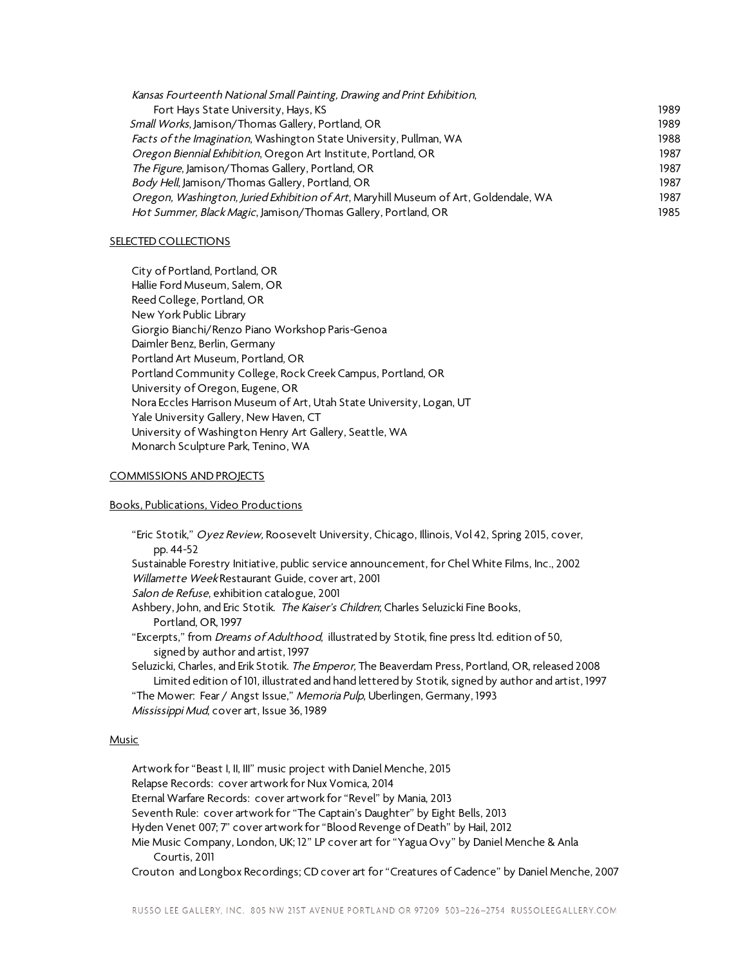| Kansas Fourteenth National Small Painting, Drawing and Print Exhibition,             |      |
|--------------------------------------------------------------------------------------|------|
| Fort Hays State University, Hays, KS                                                 | 1989 |
| Small Works, Jamison/Thomas Gallery, Portland, OR                                    | 1989 |
| Facts of the Imagination, Washington State University, Pullman, WA                   | 1988 |
| Oregon Biennial Exhibition, Oregon Art Institute, Portland, OR                       | 1987 |
| The Figure, Jamison/Thomas Gallery, Portland, OR                                     | 1987 |
| Body Hell, Jamison/Thomas Gallery, Portland, OR                                      | 1987 |
| Oregon, Washington, Juried Exhibition of Art, Maryhill Museum of Art, Goldendale, WA | 1987 |
| Hot Summer, Black Magic, Jamison/Thomas Gallery, Portland, OR                        | 1985 |
|                                                                                      |      |

#### SELECTED COLLECTIONS

City of Portland, Portland, OR Hallie Ford Museum, Salem, OR Reed College, Portland, OR New York Public Library Giorgio Bianchi/Renzo Piano Workshop Paris-Genoa Daimler Benz, Berlin, Germany Portland Art Museum, Portland, OR Portland Community College, Rock Creek Campus, Portland, OR University of Oregon, Eugene, OR Nora Eccles Harrison Museum of Art, Utah State University, Logan, UT Yale University Gallery, New Haven, CT University of Washington Henry Art Gallery, Seattle, WA Monarch Sculpture Park, Tenino, WA

#### COMMISSIONS AND PROJECTS

#### Books, Publications, Video Productions

"Eric Stotik," Oyez Review, Roosevelt University, Chicago, Illinois, Vol 42, Spring 2015, cover, pp. 44-52 Sustainable Forestry Initiative, public service announcement, for Chel White Films, Inc., 2002 Willamette Week Restaurant Guide, cover art, 2001 Salon de Refuse, exhibition catalogue, 2001 Ashbery, John, and Eric Stotik. The Kaiser's Children; Charles Seluzicki Fine Books, Portland, OR, 1997 "Excerpts," from Dreams of Adulthood, illustrated by Stotik, fine press ltd. edition of 50, signed by author and artist, 1997 Seluzicki, Charles, and Erik Stotik. The Emperor, The Beaverdam Press, Portland, OR, released 2008 Limited edition of 101, illustrated and hand lettered by Stotik, signed by author and artist, 1997 "The Mower: Fear / Angst Issue," Memoria Pulp, Uberlingen, Germany, 1993

Mississippi Mud, cover art, Issue 36, 1989

#### Music

Artwork for "Beast I, II, III" music project with Daniel Menche, 2015 Relapse Records: cover artwork for Nux Vomica, 2014 Eternal Warfare Records: cover artwork for "Revel" by Mania, 2013 Seventh Rule: cover artwork for "The Captain's Daughter" by Eight Bells, 2013 Hyden Venet 007; 7" cover artwork for "Blood Revenge of Death" by Hail, 2012 Mie Music Company, London, UK; 12" LP cover art for "Yagua Ovy" by Daniel Menche & Anla Courtis, 2011 Crouton and Longbox Recordings; CD cover art for "Creatures of Cadence" by Daniel Menche, 2007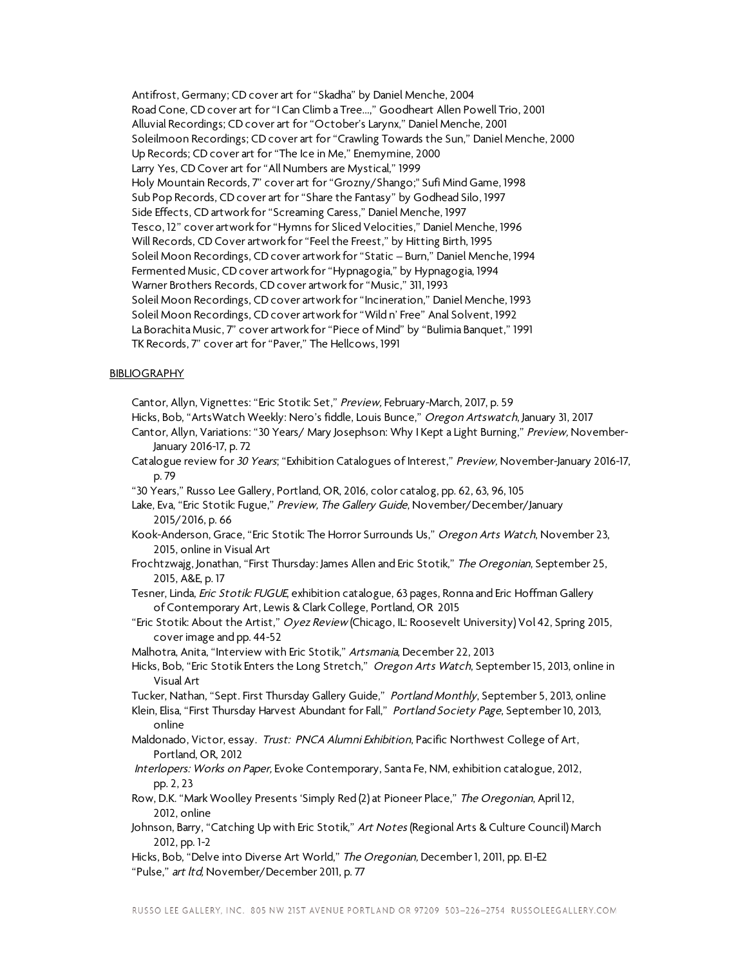Antifrost, Germany; CD cover art for "Skadha" by Daniel Menche, 2004 Road Cone, CD cover art for "I Can Climb a Tree...," Goodheart Allen Powell Trio, 2001 Alluvial Recordings; CD cover art for "October's Larynx," Daniel Menche, 2001 Soleilmoon Recordings; CD cover art for "Crawling Towards the Sun," Daniel Menche, 2000 Up Records; CD cover art for "The Ice in Me," Enemymine, 2000 Larry Yes, CD Cover art for "All Numbers are Mystical," 1999 Holy Mountain Records, 7" cover art for "Grozny/Shango;" Sufi Mind Game, 1998 Sub Pop Records, CD cover art for "Share the Fantasy" by Godhead Silo, 1997 Side Effects, CD artwork for "Screaming Caress," Daniel Menche, 1997 Tesco, 12" cover artwork for "Hymns for Sliced Velocities," Daniel Menche, 1996 Will Records, CD Cover artwork for "Feel the Freest," by Hitting Birth, 1995 Soleil Moon Recordings, CD cover artwork for "Static – Burn," Daniel Menche, 1994 Fermented Music, CD cover artwork for "Hypnagogia," by Hypnagogia, 1994 Warner Brothers Records, CD cover artwork for "Music," 311, 1993 Soleil Moon Recordings, CD cover artwork for "Incineration," Daniel Menche, 1993 Soleil Moon Recordings, CD cover artwork for "Wild n' Free" Anal Solvent, 1992 La Borachita Music, 7" cover artwork for "Piece of Mind" by "Bulimia Banquet," 1991 TK Records, 7" cover art for "Paver," The Hellcows, 1991

#### **BIBLIOGRAPHY**

Cantor, Allyn, Vignettes: "Eric Stotik: Set," Preview, February-March, 2017, p. 59

Hicks, Bob, "ArtsWatch Weekly: Nero's fiddle, Louis Bunce," Oregon Artswatch, January 31, 2017

Cantor, Allyn, Variations: "30 Years/ Mary Josephson: Why I Kept a Light Burning," Preview, November-January 2016-17, p. 72

- Catalogue review for 30 Years; "Exhibition Catalogues of Interest," Preview, November-January 2016-17, p. 79
- "30 Years," Russo Lee Gallery, Portland, OR, 2016, color catalog, pp. 62, 63, 96, 105
- Lake, Eva, "Eric Stotik: Fugue," Preview, The Gallery Guide, November/December/January 2015/2016, p. 66
- Kook-Anderson, Grace, "Eric Stotik: The Horror Surrounds Us," Oregon Arts Watch, November 23, 2015, online in Visual Art
- Frochtzwajg, Jonathan, "First Thursday: James Allen and Eric Stotik," The Oregonian, September 25, 2015, A&E, p. 17
- Tesner, Linda, *Eric Stotik: FUGUE*, exhibition catalogue, 63 pages, Ronna and Eric Hoffman Gallery of Contemporary Art, Lewis & Clark College, Portland, OR 2015
- "Eric Stotik: About the Artist," Oyez Review (Chicago, IL: Roosevelt University) Vol 42, Spring 2015, cover image and pp. 44-52
- Malhotra, Anita, "Interview with Eric Stotik," Artsmania, December 22, 2013
- Hicks, Bob, "Eric Stotik Enters the Long Stretch," Oregon Arts Watch, September 15, 2013, online in Visual Art

Tucker, Nathan, "Sept. First Thursday Gallery Guide," Portland Monthly, September 5, 2013, online

- Klein, Elisa, "First Thursday Harvest Abundant for Fall," Portland Society Page, September 10, 2013, online
- Maldonado, Victor, essay. Trust: PNCA Alumni Exhibition, Pacific Northwest College of Art, Portland, OR, 2012
- Interlopers: Works on Paper, Evoke Contemporary, Santa Fe, NM, exhibition catalogue, 2012, pp. 2, 23
- Row, D.K. "Mark Woolley Presents 'Simply Red (2) at Pioneer Place," The Oregonian, April 12, 2012, online
- Johnson, Barry, "Catching Up with Eric Stotik," Art Notes (Regional Arts & Culture Council) March 2012, pp. 1-2
- Hicks, Bob, "Delve into Diverse Art World," The Oregonian, December 1, 2011, pp. E1-E2 "Pulse," art ltd, November/December 2011, p. 77